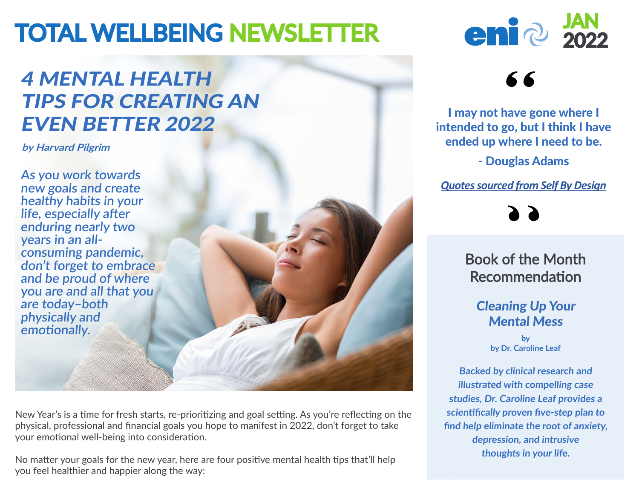# TOTAL WELLBEING NEWSLETTER

## 4 MENTAL HEALTH TIPS FOR CREATING AN EVEN BETTER 2022

**by Harvard Pilgrim**

**As you work towards new goals and create healthy habits in your life, especially after enduring nearly two years in an allconsuming pandemic, don't forget to embrace and be proud of where you are and all that you are today–both physically and emotionally.**

New Year's is a time for fresh starts, re-prioritizing and goal setting. As you're reflecting on the physical, professional and financial goals you hope to manifest in 2022, don't forget to take your emotional well-being into consideration.

No matter your goals for the new year, here are four positive mental health tips that'll help you feel healthier and happier along the way:



## 66

I may not have gone where I intended to go, but I think I have ended up where I need to be.

- Douglas Adams

*[Quotes sourced from Self By Design](https://www.selfbydesign.com/)*



Book of the Month Recommendation

#### Cleaning Up Your Mental Mess

**by by Dr. Caroline Leaf**

**Backed by clinical research and illustrated with compelling case studies, Dr. Caroline Leaf provides a scientifically proven five-step plan to find help eliminate the root of anxiety, depression, and intrusive thoughts in your life.**